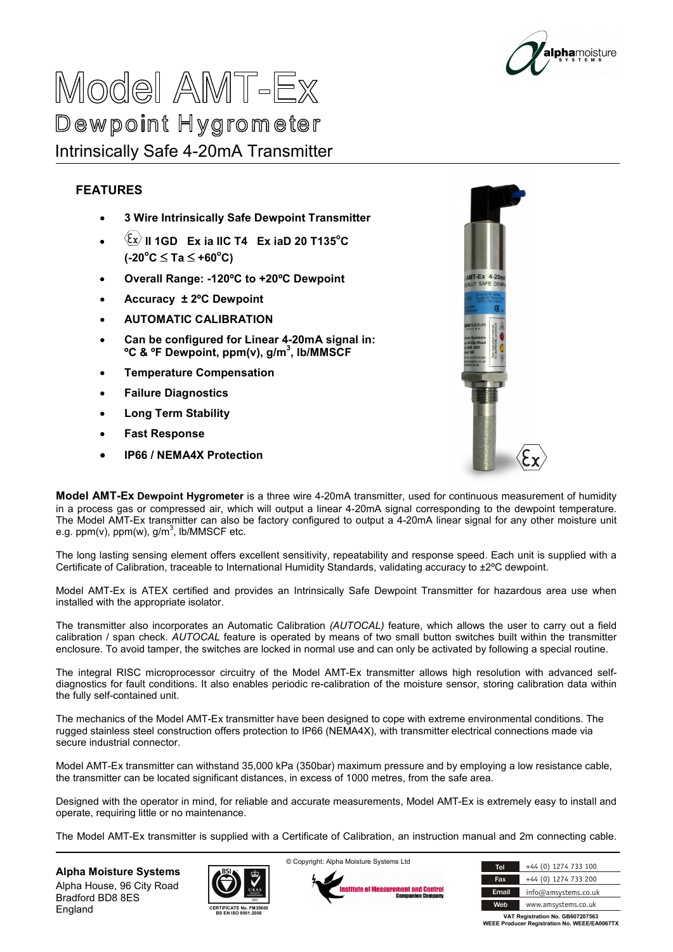

## Model AMT-Ex Dewpoint Hygrometer Intrinsically Safe 4-20mA Transmitter

## **FEATURES**

- **3 Wire Intrinsically Safe Dewpoint Transmitter**
- $\frac{\langle \xi_{\mathbf{x}} \rangle}{\langle \xi_{\mathbf{x}} \rangle}$  II 1GD Ex ia IIC T4 Ex iaD 20 T135°C **(-20<sup>o</sup>C** ≤ **Ta** ≤ **+60<sup>o</sup>C)**
- **Overall Range: -120ºC to +20ºC Dewpoint**
- **Accuracy ± 2ºC Dewpoint**
- **AUTOMATIC CALIBRATION**
- **Can be configured for Linear 4-20mA signal in: ºC & ºF Dewpoint, ppm(v), g/m<sup>3</sup> , lb/MMSCF**
- **Temperature Compensation**
- **Failure Diagnostics**
- **Long Term Stability**
- **Fast Response**
- **IP66 / NEMA4X Protection**



**Model AMT-Ex Dewpoint Hygrometer** is a three wire 4-20mA transmitter, used for continuous measurement of humidity in a process gas or compressed air, which will output a linear 4-20mA signal corresponding to the dewpoint temperature. The Model AMT-Ex transmitter can also be factory configured to output a 4-20mA linear signal for any other moisture unit e.g. ppm(v), ppm(w), g/m $^3$ , lb/MMSCF etc.

The long lasting sensing element offers excellent sensitivity, repeatability and response speed. Each unit is supplied with a Certificate of Calibration, traceable to International Humidity Standards, validating accuracy to ±2ºC dewpoint.

Model AMT-Ex is ATEX certified and provides an Intrinsically Safe Dewpoint Transmitter for hazardous area use when installed with the appropriate isolator.

The transmitter also incorporates an Automatic Calibration *(AUTOCAL)* feature, which allows the user to carry out a field calibration / span check. *AUTOCAL* feature is operated by means of two small button switches built within the transmitter enclosure. To avoid tamper, the switches are locked in normal use and can only be activated by following a special routine.

The integral RISC microprocessor circuitry of the Model AMT-Ex transmitter allows high resolution with advanced selfdiagnostics for fault conditions. It also enables periodic re-calibration of the moisture sensor, storing calibration data within the fully self-contained unit.

The mechanics of the Model AMT-Ex transmitter have been designed to cope with extreme environmental conditions. The rugged stainless steel construction offers protection to IP66 (NEMA4X), with transmitter electrical connections made via secure industrial connector.

Model AMT-Ex transmitter can withstand 35,000 kPa (350bar) maximum pressure and by employing a low resistance cable, the transmitter can be located significant distances, in excess of 1000 metres, from the safe area.

Designed with the operator in mind, for reliable and accurate measurements, Model AMT-Ex is extremely easy to install and operate, requiring little or no maintenance.

The Model AMT-Ex transmitter is supplied with a Certificate of Calibration, an instruction manual and 2m connecting cable.

**Alpha Moisture Systems** Alpha House, 96 City Road Bradford BD8 8ES **England** 



© Copyright: Alpha Moisture Systems Ltd  $\frac{1}{2}$ 

| <b>Companion Company</b> |
|--------------------------|
|--------------------------|

| Tel          | +44 (0) 1274 733 100 |  |
|--------------|----------------------|--|
| Fax          | +44 (0) 1274 733 200 |  |
| <b>Email</b> | info@amsystems.co.uk |  |
| Web          | www.amsystems.co.uk  |  |

**BS EN ISO 9001:2008 VAT Registration No. GB607207563 WEEE Producer Registration No. WEEE/EA0067TX**